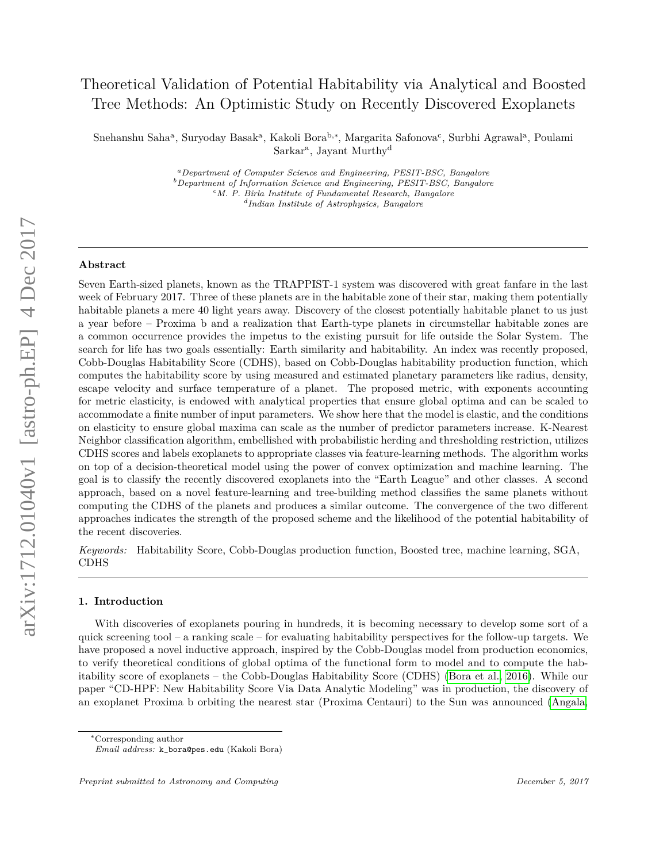# Theoretical Validation of Potential Habitability via Analytical and Boosted Tree Methods: An Optimistic Study on Recently Discovered Exoplanets

Snehanshu Saha<sup>a</sup>, Suryoday Basak<sup>a</sup>, Kakoli Bora<sup>b,</sup>\*, Margarita Safonova<sup>c</sup>, Surbhi Agrawal<sup>a</sup>, Poulami Sarkar<sup>a</sup>, Jayant Murthy<sup>d</sup>

> *<sup>a</sup>Department of Computer Science and Engineering, PESIT-BSC, Bangalore <sup>b</sup>Department of Information Science and Engineering, PESIT-BSC, Bangalore <sup>c</sup>M. P. Birla Institute of Fundamental Research, Bangalore d Indian Institute of Astrophysics, Bangalore*

# **Abstract**

Seven Earth-sized planets, known as the TRAPPIST-1 system was discovered with great fanfare in the last week of February 2017. Three of these planets are in the habitable zone of their star, making them potentially habitable planets a mere 40 light years away. Discovery of the closest potentially habitable planet to us just a year before – Proxima b and a realization that Earth-type planets in circumstellar habitable zones are a common occurrence provides the impetus to the existing pursuit for life outside the Solar System. The search for life has two goals essentially: Earth similarity and habitability. An index was recently proposed, Cobb-Douglas Habitability Score (CDHS), based on Cobb-Douglas habitability production function, which computes the habitability score by using measured and estimated planetary parameters like radius, density, escape velocity and surface temperature of a planet. The proposed metric, with exponents accounting for metric elasticity, is endowed with analytical properties that ensure global optima and can be scaled to accommodate a finite number of input parameters. We show here that the model is elastic, and the conditions on elasticity to ensure global maxima can scale as the number of predictor parameters increase. K-Nearest Neighbor classification algorithm, embellished with probabilistic herding and thresholding restriction, utilizes CDHS scores and labels exoplanets to appropriate classes via feature-learning methods. The algorithm works on top of a decision-theoretical model using the power of convex optimization and machine learning. The goal is to classify the recently discovered exoplanets into the "Earth League" and other classes. A second approach, based on a novel feature-learning and tree-building method classifies the same planets without computing the CDHS of the planets and produces a similar outcome. The convergence of the two different approaches indicates the strength of the proposed scheme and the likelihood of the potential habitability of the recent discoveries.

*Keywords:* Habitability Score, Cobb-Douglas production function, Boosted tree, machine learning, SGA, CDHS

# **1. Introduction**

With discoveries of exoplanets pouring in hundreds, it is becoming necessary to develop some sort of a quick screening tool – a ranking scale – for evaluating habitability perspectives for the follow-up targets. We have proposed a novel inductive approach, inspired by the Cobb-Douglas model from production economics, to verify theoretical conditions of global optima of the functional form to model and to compute the habitability score of exoplanets – the Cobb-Douglas Habitability Score (CDHS) [\(Bora et al., 2016\)](#page-15-0). While our paper "CD-HPF: New Habitability Score Via Data Analytic Modeling" was in production, the discovery of an exoplanet Proxima b orbiting the nearest star (Proxima Centauri) to the Sun was announced [\(Angala,](#page-16-0)

<sup>∗</sup>Corresponding author

*Email address:* k\_bora@pes.edu (Kakoli Bora)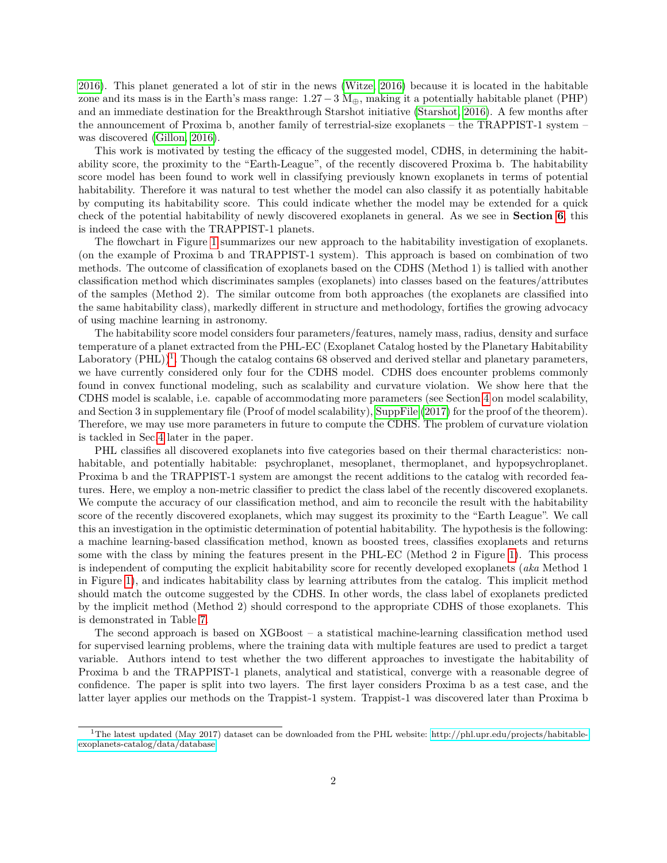[2016\)](#page-16-0). This planet generated a lot of stir in the news [\(Witze, 2016\)](#page-16-1) because it is located in the habitable zone and its mass is in the Earth's mass range: 1*.*27−3 M⊕, making it a potentially habitable planet (PHP) and an immediate destination for the Breakthrough Starshot initiative [\(Starshot, 2016\)](#page-16-2). A few months after the announcement of Proxima b, another family of terrestrial-size exoplanets – the TRAPPIST-1 system – was discovered [\(Gillon, 2016\)](#page-16-3).

This work is motivated by testing the efficacy of the suggested model, CDHS, in determining the habitability score, the proximity to the "Earth-League", of the recently discovered Proxima b. The habitability score model has been found to work well in classifying previously known exoplanets in terms of potential habitability. Therefore it was natural to test whether the model can also classify it as potentially habitable by computing its habitability score. This could indicate whether the model may be extended for a quick check of the potential habitability of newly discovered exoplanets in general. As we see in **Section [6](#page-11-0)**, this is indeed the case with the TRAPPIST-1 planets.

The flowchart in Figure [1](#page-2-0) summarizes our new approach to the habitability investigation of exoplanets. (on the example of Proxima b and TRAPPIST-1 system). This approach is based on combination of two methods. The outcome of classification of exoplanets based on the CDHS (Method 1) is tallied with another classification method which discriminates samples (exoplanets) into classes based on the features/attributes of the samples (Method 2). The similar outcome from both approaches (the exoplanets are classified into the same habitability class), markedly different in structure and methodology, fortifies the growing advocacy of using machine learning in astronomy.

The habitability score model considers four parameters/features, namely mass, radius, density and surface temperature of a planet extracted from the PHL-EC (Exoplanet Catalog hosted by the Planetary Habitability Laboratory  $(PHL))^1$  $(PHL))^1$ . Though the catalog contains 68 observed and derived stellar and planetary parameters, we have currently considered only four for the CDHS model. CDHS does encounter problems commonly found in convex functional modeling, such as scalability and curvature violation. We show here that the CDHS model is scalable, i.e. capable of accommodating more parameters (see Section [4](#page-8-0) on model scalability, and Section 3 in supplementary file (Proof of model scalability), [SuppFile](#page-16-4) [\(2017\)](#page-16-4) for the proof of the theorem). Therefore, we may use more parameters in future to compute the CDHS. The problem of curvature violation is tackled in Sec[.4](#page-8-0) later in the paper.

PHL classifies all discovered exoplanets into five categories based on their thermal characteristics: nonhabitable, and potentially habitable: psychroplanet, mesoplanet, thermoplanet, and hypopsychroplanet. Proxima b and the TRAPPIST-1 system are amongst the recent additions to the catalog with recorded features. Here, we employ a non-metric classifier to predict the class label of the recently discovered exoplanets. We compute the accuracy of our classification method, and aim to reconcile the result with the habitability score of the recently discovered exoplanets, which may suggest its proximity to the "Earth League". We call this an investigation in the optimistic determination of potential habitability. The hypothesis is the following: a machine learning-based classification method, known as boosted trees, classifies exoplanets and returns some with the class by mining the features present in the PHL-EC (Method 2 in Figure [1\)](#page-2-0). This process is independent of computing the explicit habitability score for recently developed exoplanets (*aka* Method 1 in Figure [1\)](#page-2-0), and indicates habitability class by learning attributes from the catalog. This implicit method should match the outcome suggested by the CDHS. In other words, the class label of exoplanets predicted by the implicit method (Method 2) should correspond to the appropriate CDHS of those exoplanets. This is demonstrated in Table [7.](#page-14-0)

The second approach is based on XGBoost – a statistical machine-learning classification method used for supervised learning problems, where the training data with multiple features are used to predict a target variable. Authors intend to test whether the two different approaches to investigate the habitability of Proxima b and the TRAPPIST-1 planets, analytical and statistical, converge with a reasonable degree of confidence. The paper is split into two layers. The first layer considers Proxima b as a test case, and the latter layer applies our methods on the Trappist-1 system. Trappist-1 was discovered later than Proxima b

<span id="page-1-0"></span><sup>1</sup>The latest updated (May 2017) dataset can be downloaded from the PHL website: [http://phl.upr.edu/projects/habitable](http://phl.upr.edu/projects/habitable-exoplanets-catalog/data/database)[exoplanets-catalog/data/database](http://phl.upr.edu/projects/habitable-exoplanets-catalog/data/database)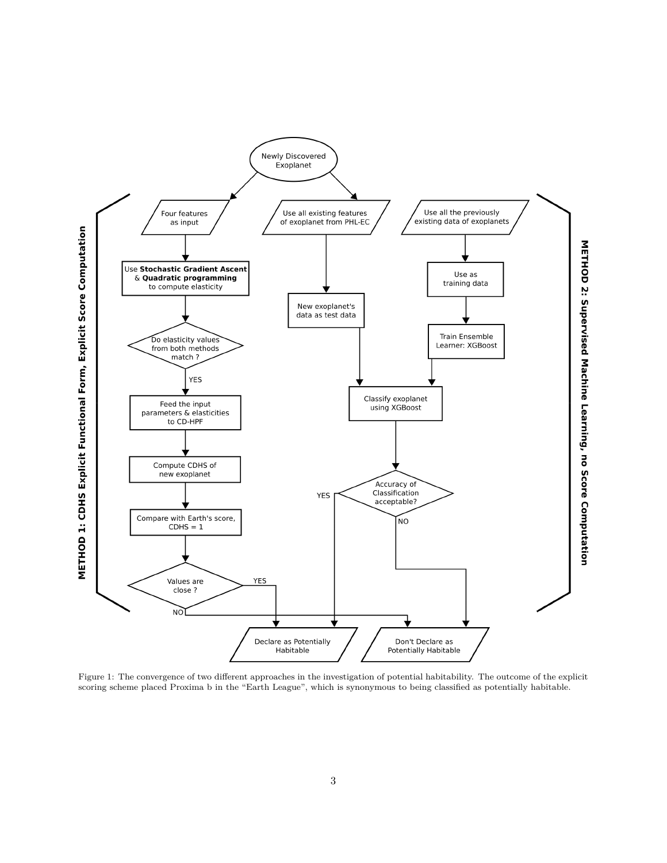<span id="page-2-0"></span>

Figure 1: The convergence of two different approaches in the investigation of potential habitability. The outcome of the explicit scoring scheme placed Proxima b in the "Earth League", which is synonymous to being classified as potentially habitable.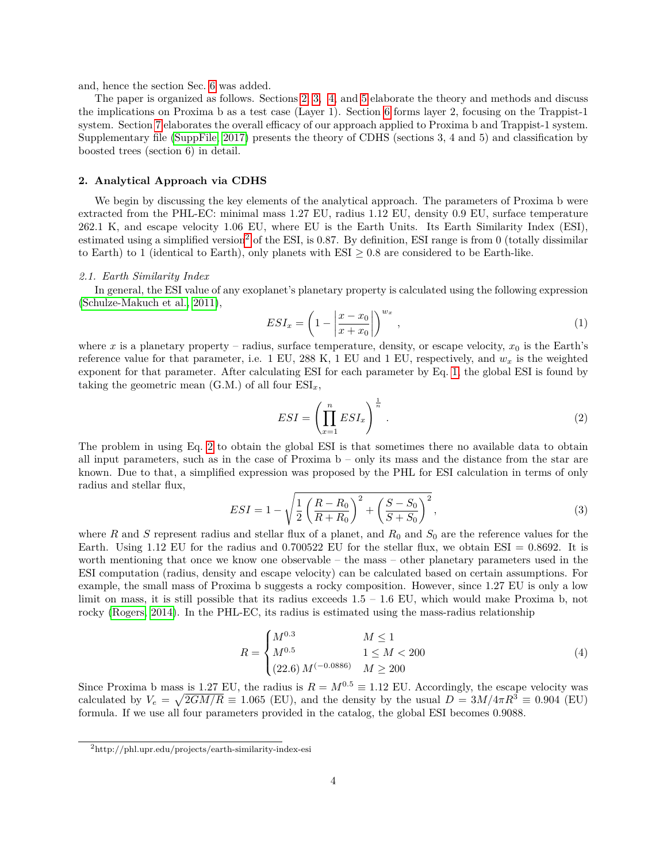and, hence the section Sec. [6](#page-11-0) was added.

The paper is organized as follows. Sections [2,](#page-3-0) [3,](#page-5-0) [4,](#page-8-0) and [5](#page-9-0) elaborate the theory and methods and discuss the implications on Proxima b as a test case (Layer 1). Section [6](#page-11-0) forms layer 2, focusing on the Trappist-1 system. Section [7](#page-12-0) elaborates the overall efficacy of our approach applied to Proxima b and Trappist-1 system. Supplementary file [\(SuppFile, 2017\)](#page-16-4) presents the theory of CDHS (sections 3, 4 and 5) and classification by boosted trees (section 6) in detail.

# <span id="page-3-0"></span>**2. Analytical Approach via CDHS**

We begin by discussing the key elements of the analytical approach. The parameters of Proxima b were extracted from the PHL-EC: minimal mass 1.27 EU, radius 1.12 EU, density 0.9 EU, surface temperature 262.1 K, and escape velocity 1.06 EU, where EU is the Earth Units. Its Earth Similarity Index (ESI), estimated using a simplified version<sup>[2](#page-3-1)</sup> of the ESI, is 0.87. By definition, ESI range is from 0 (totally dissimilar to Earth) to 1 (identical to Earth), only planets with ESI ≥ 0*.*8 are considered to be Earth-like.

## *2.1. Earth Similarity Index*

In general, the ESI value of any exoplanet's planetary property is calculated using the following expression [\(Schulze-Makuch et al., 2011\)](#page-16-5),

<span id="page-3-2"></span>
$$
ESI_x = \left(1 - \left|\frac{x - x_0}{x + x_0}\right|\right)^{w_x},\tag{1}
$$

where  $x$  is a planetary property – radius, surface temperature, density, or escape velocity,  $x_0$  is the Earth's reference value for that parameter, i.e. 1 EU, 288 K, 1 EU and 1 EU, respectively, and  $w_x$  is the weighted exponent for that parameter. After calculating ESI for each parameter by Eq. [1,](#page-3-2) the global ESI is found by taking the geometric mean  $(G.M.)$  of all four  $ESI<sub>r</sub>$ ,

<span id="page-3-3"></span>
$$
ESI = \left(\prod_{x=1}^{n} ESI_x\right)^{\frac{1}{n}}.
$$
\n
$$
(2)
$$

The problem in using Eq. [2](#page-3-3) to obtain the global ESI is that sometimes there no available data to obtain all input parameters, such as in the case of Proxima b – only its mass and the distance from the star are known. Due to that, a simplified expression was proposed by the PHL for ESI calculation in terms of only radius and stellar flux,

<span id="page-3-4"></span>
$$
ESI = 1 - \sqrt{\frac{1}{2} \left( \frac{R - R_0}{R + R_0} \right)^2 + \left( \frac{S - S_0}{S + S_0} \right)^2},
$$
\n(3)

where *R* and *S* represent radius and stellar flux of a planet, and  $R_0$  and  $S_0$  are the reference values for the Earth. Using 1.12 EU for the radius and  $0.700522$  EU for the stellar flux, we obtain ESI = 0.8692. It is worth mentioning that once we know one observable – the mass – other planetary parameters used in the ESI computation (radius, density and escape velocity) can be calculated based on certain assumptions. For example, the small mass of Proxima b suggests a rocky composition. However, since 1.27 EU is only a low limit on mass, it is still possible that its radius exceeds  $1.5 - 1.6$  EU, which would make Proxima b, not rocky [\(Rogers, 2014\)](#page-16-6). In the PHL-EC, its radius is estimated using the mass-radius relationship

$$
R = \begin{cases} M^{0.3} & M \le 1\\ M^{0.5} & 1 \le M < 200\\ (22.6) M^{(-0.0886)} & M \ge 200 \end{cases}
$$
 (4)

Since Proxima b mass is 1.27 EU, the radius is  $R = M^{0.5} \equiv 1.12$  EU. Accordingly, the escape velocity was calculated by  $V_e = \sqrt{2GM/R} \equiv 1.065$  (EU), and the density by the usual  $D = 3M/4\pi R^3 \equiv 0.904$  (EU) formula. If we use all four parameters provided in the catalog, the global ESI becomes 0.9088.

<span id="page-3-1"></span><sup>2</sup>http://phl.upr.edu/projects/earth-similarity-index-esi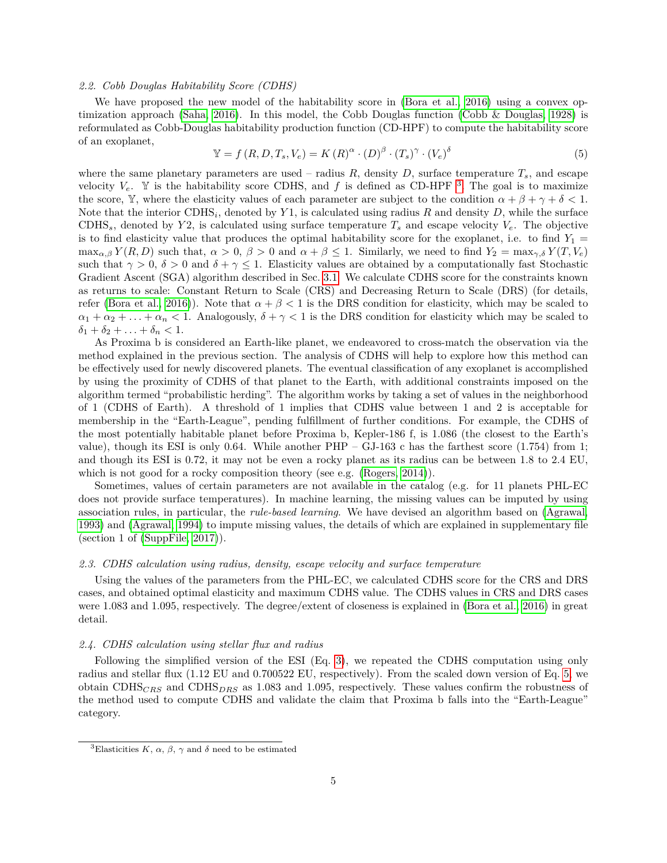## <span id="page-4-2"></span>*2.2. Cobb Douglas Habitability Score (CDHS)*

We have proposed the new model of the habitability score in [\(Bora et al., 2016\)](#page-15-0) using a convex optimization approach [\(Saha, 2016\)](#page-15-1). In this model, the Cobb Douglas function [\(Cobb & Douglas, 1928\)](#page-16-7) is reformulated as Cobb-Douglas habitability production function (CD-HPF) to compute the habitability score of an exoplanet,

<span id="page-4-1"></span>
$$
\mathbb{Y} = f(R, D, T_s, V_e) = K(R)^{\alpha} \cdot (D)^{\beta} \cdot (T_s)^{\gamma} \cdot (V_e)^{\delta}
$$
\n(5)

where the same planetary parameters are used – radius  $R$ , density  $D$ , surface temperature  $T_s$ , and escape velocity  $V_e$ . Y is the habitability score CDHS, and  $f$  is defined as CD-HPF <sup>[3](#page-4-0)</sup>. The goal is to maximize the score, Y, where the elasticity values of each parameter are subject to the condition  $\alpha + \beta + \gamma + \delta < 1$ . Note that the interior CDHS*<sup>i</sup>* , denoted by *Y* 1, is calculated using radius *R* and density *D*, while the surface CDHS<sub>s</sub>, denoted by  $Y2$ , is calculated using surface temperature  $T_s$  and escape velocity  $V_e$ . The objective is to find elasticity value that produces the optimal habitability score for the exoplanet, i.e. to find  $Y_1 =$  $\max_{\alpha,\beta} Y(R, D)$  such that,  $\alpha > 0$ ,  $\beta > 0$  and  $\alpha + \beta \leq 1$ . Similarly, we need to find  $Y_2 = \max_{\gamma,\delta} Y(T, V_e)$ such that  $\gamma > 0$ ,  $\delta > 0$  and  $\delta + \gamma \leq 1$ . Elasticity values are obtained by a computationally fast Stochastic Gradient Ascent (SGA) algorithm described in Sec. [3.1.](#page-5-1) We calculate CDHS score for the constraints known as returns to scale: Constant Return to Scale (CRS) and Decreasing Return to Scale (DRS) (for details, refer [\(Bora et al., 2016\)](#page-15-0)). Note that  $\alpha + \beta < 1$  is the DRS condition for elasticity, which may be scaled to  $\alpha_1 + \alpha_2 + \ldots + \alpha_n < 1$ . Analogously,  $\delta + \gamma < 1$  is the DRS condition for elasticity which may be scaled to  $\delta_1 + \delta_2 + \ldots + \delta_n < 1.$ 

As Proxima b is considered an Earth-like planet, we endeavored to cross-match the observation via the method explained in the previous section. The analysis of CDHS will help to explore how this method can be effectively used for newly discovered planets. The eventual classification of any exoplanet is accomplished by using the proximity of CDHS of that planet to the Earth, with additional constraints imposed on the algorithm termed "probabilistic herding". The algorithm works by taking a set of values in the neighborhood of 1 (CDHS of Earth). A threshold of 1 implies that CDHS value between 1 and 2 is acceptable for membership in the "Earth-League", pending fulfillment of further conditions. For example, the CDHS of the most potentially habitable planet before Proxima b, Kepler-186 f, is 1.086 (the closest to the Earth's value), though its ESI is only 0.64. While another  $PHP - GJ-163$  c has the farthest score (1.754) from 1; and though its ESI is 0.72, it may not be even a rocky planet as its radius can be between 1.8 to 2.4 EU, which is not good for a rocky composition theory (see e.g. [\(Rogers, 2014\)](#page-16-6)).

Sometimes, values of certain parameters are not available in the catalog (e.g. for 11 planets PHL-EC does not provide surface temperatures). In machine learning, the missing values can be imputed by using association rules, in particular, the *rule-based learning*. We have devised an algorithm based on [\(Agrawal,](#page-16-8) [1993\)](#page-16-8) and [\(Agrawal, 1994\)](#page-16-9) to impute missing values, the details of which are explained in supplementary file (section 1 of [\(SuppFile, 2017\)](#page-16-4)).

# *2.3. CDHS calculation using radius, density, escape velocity and surface temperature*

Using the values of the parameters from the PHL-EC, we calculated CDHS score for the CRS and DRS cases, and obtained optimal elasticity and maximum CDHS value. The CDHS values in CRS and DRS cases were 1.083 and 1.095, respectively. The degree/extent of closeness is explained in [\(Bora et al., 2016\)](#page-15-0) in great detail.

# *2.4. CDHS calculation using stellar flux and radius*

Following the simplified version of the ESI (Eq. [3\)](#page-3-4), we repeated the CDHS computation using only radius and stellar flux (1.12 EU and 0.700522 EU, respectively). From the scaled down version of Eq. [5,](#page-4-1) we obtain CDHS*CRS* and CDHS*DRS* as 1.083 and 1.095, respectively. These values confirm the robustness of the method used to compute CDHS and validate the claim that Proxima b falls into the "Earth-League" category.

<span id="page-4-0"></span><sup>&</sup>lt;sup>3</sup>Elasticities *K*,  $\alpha$ ,  $\beta$ ,  $\gamma$  and  $\delta$  need to be estimated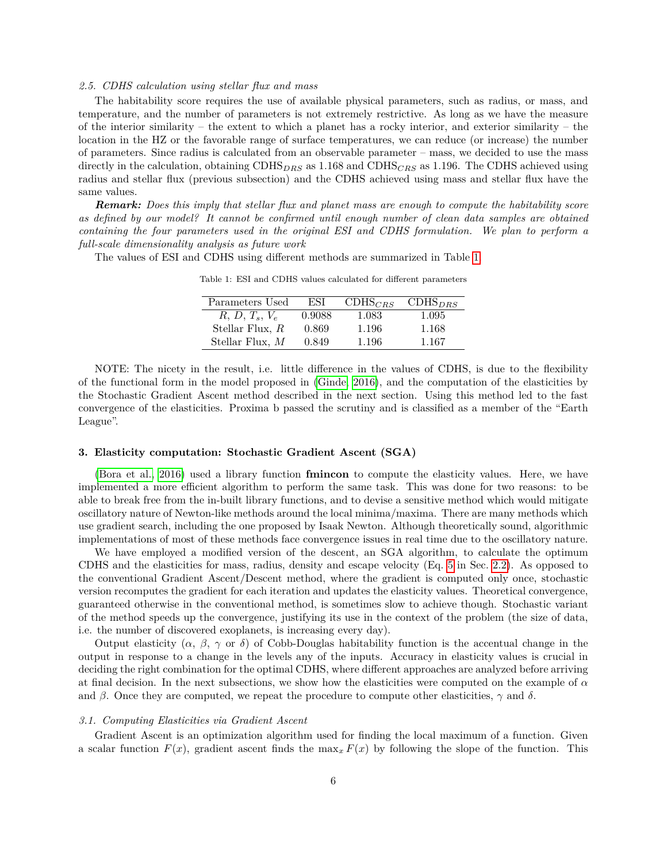### *2.5. CDHS calculation using stellar flux and mass*

The habitability score requires the use of available physical parameters, such as radius, or mass, and temperature, and the number of parameters is not extremely restrictive. As long as we have the measure of the interior similarity – the extent to which a planet has a rocky interior, and exterior similarity – the location in the HZ or the favorable range of surface temperatures, we can reduce (or increase) the number of parameters. Since radius is calculated from an observable parameter – mass, we decided to use the mass directly in the calculation, obtaining CDHS*DRS* as 1.168 and CDHS*CRS* as 1.196. The CDHS achieved using radius and stellar flux (previous subsection) and the CDHS achieved using mass and stellar flux have the same values.

*Remark: Does this imply that stellar flux and planet mass are enough to compute the habitability score as defined by our model? It cannot be confirmed until enough number of clean data samples are obtained containing the four parameters used in the original ESI and CDHS formulation. We plan to perform a full-scale dimensionality analysis as future work*

<span id="page-5-2"></span>The values of ESI and CDHS using different methods are summarized in Table [1.](#page-5-2)

| Parameters Used   | ESI    | $\text{CDHS}_{CBS}$ | $\text{CDHS}_{DRS}$ |
|-------------------|--------|---------------------|---------------------|
| $R, D, T_s, V_e$  | 0.9088 | 1.083               | 1.095               |
| Stellar Flux, $R$ | 0.869  | 1.196               | 1.168               |
| Stellar Flux, $M$ | 0.849  | 1.196               | 1.167               |

Table 1: ESI and CDHS values calculated for different parameters

NOTE: The nicety in the result, i.e. little difference in the values of CDHS, is due to the flexibility of the functional form in the model proposed in [\(Ginde, 2016\)](#page-16-10), and the computation of the elasticities by the Stochastic Gradient Ascent method described in the next section. Using this method led to the fast convergence of the elasticities. Proxima b passed the scrutiny and is classified as a member of the "Earth League".

## <span id="page-5-0"></span>**3. Elasticity computation: Stochastic Gradient Ascent (SGA)**

[\(Bora et al., 2016\)](#page-15-0) used a library function **fmincon** to compute the elasticity values. Here, we have implemented a more efficient algorithm to perform the same task. This was done for two reasons: to be able to break free from the in-built library functions, and to devise a sensitive method which would mitigate oscillatory nature of Newton-like methods around the local minima/maxima. There are many methods which use gradient search, including the one proposed by Isaak Newton. Although theoretically sound, algorithmic implementations of most of these methods face convergence issues in real time due to the oscillatory nature.

We have employed a modified version of the descent, an SGA algorithm, to calculate the optimum CDHS and the elasticities for mass, radius, density and escape velocity (Eq. [5](#page-4-1) in Sec. [2.2\)](#page-4-2). As opposed to the conventional Gradient Ascent/Descent method, where the gradient is computed only once, stochastic version recomputes the gradient for each iteration and updates the elasticity values. Theoretical convergence, guaranteed otherwise in the conventional method, is sometimes slow to achieve though. Stochastic variant of the method speeds up the convergence, justifying its use in the context of the problem (the size of data, i.e. the number of discovered exoplanets, is increasing every day).

Output elasticity  $(\alpha, \beta, \gamma \text{ or } \delta)$  of Cobb-Douglas habitability function is the accentual change in the output in response to a change in the levels any of the inputs. Accuracy in elasticity values is crucial in deciding the right combination for the optimal CDHS, where different approaches are analyzed before arriving at final decision. In the next subsections, we show how the elasticities were computed on the example of *α* and  $\beta$ . Once they are computed, we repeat the procedure to compute other elasticities,  $\gamma$  and  $\delta$ .

## <span id="page-5-1"></span>*3.1. Computing Elasticities via Gradient Ascent*

Gradient Ascent is an optimization algorithm used for finding the local maximum of a function. Given a scalar function  $F(x)$ , gradient ascent finds the max<sub>x</sub>  $F(x)$  by following the slope of the function. This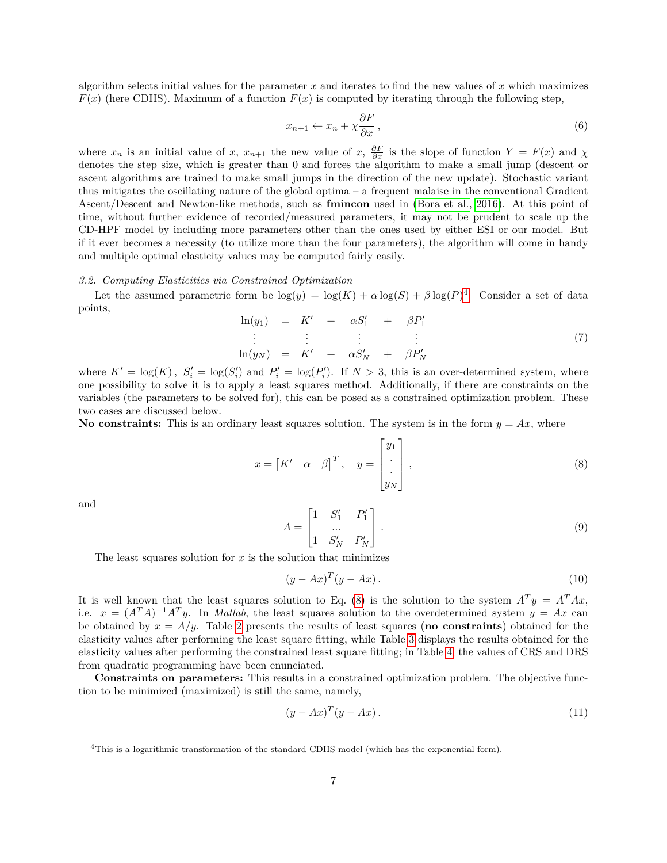algorithm selects initial values for the parameter *x* and iterates to find the new values of *x* which maximizes  $F(x)$  (here CDHS). Maximum of a function  $F(x)$  is computed by iterating through the following step,

$$
x_{n+1} \leftarrow x_n + \chi \frac{\partial F}{\partial x},\tag{6}
$$

where  $x_n$  is an initial value of *x*,  $x_{n+1}$  the new value of *x*,  $\frac{\partial F}{\partial x}$  is the slope of function  $Y = F(x)$  and  $\chi$ denotes the step size, which is greater than 0 and forces the algorithm to make a small jump (descent or ascent algorithms are trained to make small jumps in the direction of the new update). Stochastic variant thus mitigates the oscillating nature of the global optima – a frequent malaise in the conventional Gradient Ascent/Descent and Newton-like methods, such as **fmincon** used in [\(Bora et al., 2016\)](#page-15-0). At this point of time, without further evidence of recorded/measured parameters, it may not be prudent to scale up the CD-HPF model by including more parameters other than the ones used by either ESI or our model. But if it ever becomes a necessity (to utilize more than the four parameters), the algorithm will come in handy and multiple optimal elasticity values may be computed fairly easily.

#### *3.2. Computing Elasticities via Constrained Optimization*

Let the assumed parametric form be  $\log(y) = \log(K) + \alpha \log(S) + \beta \log(P)^4$  $\log(y) = \log(K) + \alpha \log(S) + \beta \log(P)^4$ . Consider a set of data points,

$$
\ln(y_1) = K' + \alpha S'_1 + \beta P'_1
$$
\n
$$
\vdots \qquad \vdots \qquad \vdots \qquad \vdots
$$
\n
$$
\ln(y_N) = K' + \alpha S'_N + \beta P'_N
$$
\n(7)

where  $K' = \log(K)$ ,  $S'_{i} = \log(S'_{i})$  and  $P'_{i} = \log(P'_{i})$ . If  $N > 3$ , this is an over-determined system, where one possibility to solve it is to apply a least squares method. Additionally, if there are constraints on the variables (the parameters to be solved for), this can be posed as a constrained optimization problem. These two cases are discussed below.

**No constraints:** This is an ordinary least squares solution. The system is in the form  $y = Ax$ , where

<span id="page-6-1"></span>
$$
x = \begin{bmatrix} K' & \alpha & \beta \end{bmatrix}^T, \quad y = \begin{bmatrix} y_1 \\ \vdots \\ y_N \end{bmatrix}, \tag{8}
$$

and

$$
A = \begin{bmatrix} 1 & S_1' & P_1' \\ \dots & \dots & \dots \\ 1 & S_N' & P_N' \end{bmatrix} .
$$
 (9)

The least squares solution for  $x$  is the solution that minimizes

$$
(y - Ax)^{T}(y - Ax). \tag{10}
$$

It is well known that the least squares solution to Eq. [\(8\)](#page-6-1) is the solution to the system  $A^T y = A^T A x$ , i.e.  $x = (A^T A)^{-1} A^T y$ . In *Matlab*, the least squares solution to the overdetermined system  $y = Ax$  can be obtained by  $x = A/y$ . Table [2](#page-7-0) presents the results of least squares (**no constraints**) obtained for the elasticity values after performing the least square fitting, while Table [3](#page-7-1) displays the results obtained for the elasticity values after performing the constrained least square fitting; in Table [4,](#page-8-1) the values of CRS and DRS from quadratic programming have been enunciated.

**Constraints on parameters:** This results in a constrained optimization problem. The objective function to be minimized (maximized) is still the same, namely,

$$
(y - Ax)^T (y - Ax). \tag{11}
$$

<span id="page-6-0"></span><sup>4</sup>This is a logarithmic transformation of the standard CDHS model (which has the exponential form).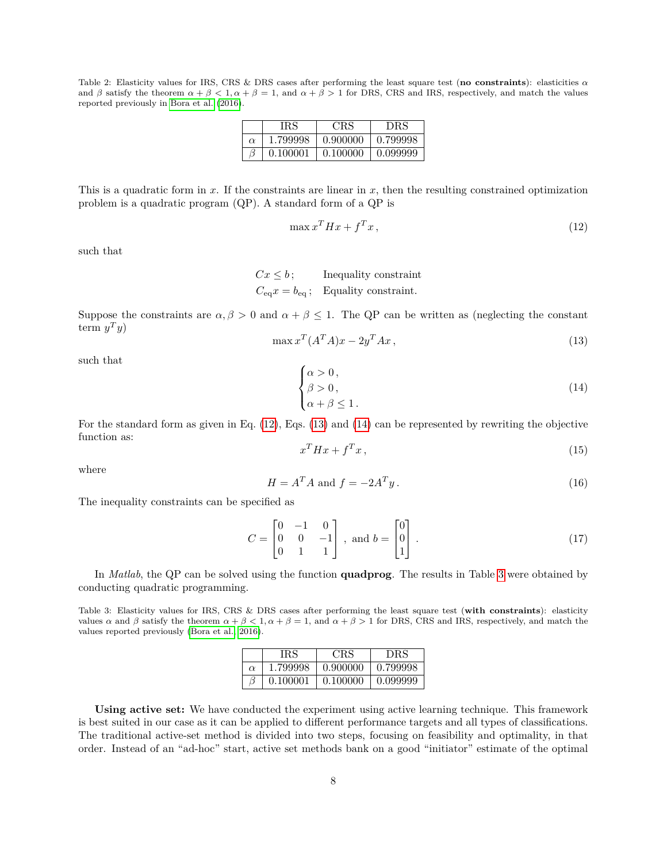<span id="page-7-0"></span>Table 2: Elasticity values for IRS, CRS & DRS cases after performing the least square test (**no constraints**): elasticities *α* and  $\beta$  satisfy the theorem  $\alpha + \beta < 1$ ,  $\alpha + \beta = 1$ , and  $\alpha + \beta > 1$  for DRS, CRS and IRS, respectively, and match the values reported previously in [Bora et al.](#page-15-0) [\(2016\)](#page-15-0).

|          | IRS      | CRS      | DRS      |
|----------|----------|----------|----------|
| $\alpha$ | 1.799998 | 0.900000 | 0.799998 |
| IJ       | 0.100001 | 0.100000 | 0.099999 |

This is a quadratic form in *x*. If the constraints are linear in *x*, then the resulting constrained optimization problem is a quadratic program (QP). A standard form of a QP is

<span id="page-7-2"></span>
$$
\max x^T H x + f^T x, \tag{12}
$$

such that

<span id="page-7-3"></span> $Cx \leq b$ ; Inequality constraint  $C_{eq}x = b_{eq}$ ; Equality constraint.

Suppose the constraints are  $\alpha, \beta > 0$  and  $\alpha + \beta \leq 1$ . The QP can be written as (neglecting the constant term  $y^T y$ 

$$
\max x^T (A^T A)x - 2y^T Ax, \qquad (13)
$$

such that

<span id="page-7-4"></span>
$$
\begin{cases} \alpha > 0, \\ \beta > 0, \\ \alpha + \beta \le 1. \end{cases}
$$
 (14)

For the standard form as given in Eq. [\(12\)](#page-7-2), Eqs. [\(13\)](#page-7-3) and [\(14\)](#page-7-4) can be represented by rewriting the objective function as:

$$
x^T H x + f^T x, \tag{15}
$$

where

$$
H = A^T A \text{ and } f = -2A^T y. \tag{16}
$$

The inequality constraints can be specified as

$$
C = \begin{bmatrix} 0 & -1 & 0 \\ 0 & 0 & -1 \\ 0 & 1 & 1 \end{bmatrix}, \text{ and } b = \begin{bmatrix} 0 \\ 0 \\ 1 \end{bmatrix}.
$$
 (17)

In *Matlab*, the QP can be solved using the function **quadprog**. The results in Table [3](#page-7-1) were obtained by conducting quadratic programming.

<span id="page-7-1"></span>Table 3: Elasticity values for IRS, CRS & DRS cases after performing the least square test (**with constraints**): elasticity values  $\alpha$  and  $\beta$  satisfy the theorem  $\alpha + \beta < 1$ ,  $\alpha + \beta = 1$ , and  $\alpha + \beta > 1$  for DRS, CRS and IRS, respectively, and match the values reported previously [\(Bora et al., 2016\)](#page-15-0).

|          | IRS      | CRS      | DRS      |
|----------|----------|----------|----------|
| $\alpha$ | 1.799998 | 0.900000 | 0.799998 |
|          | 0.100001 | 0.100000 | 0.099999 |

**Using active set:** We have conducted the experiment using active learning technique. This framework is best suited in our case as it can be applied to different performance targets and all types of classifications. The traditional active-set method is divided into two steps, focusing on feasibility and optimality, in that order. Instead of an "ad-hoc" start, active set methods bank on a good "initiator" estimate of the optimal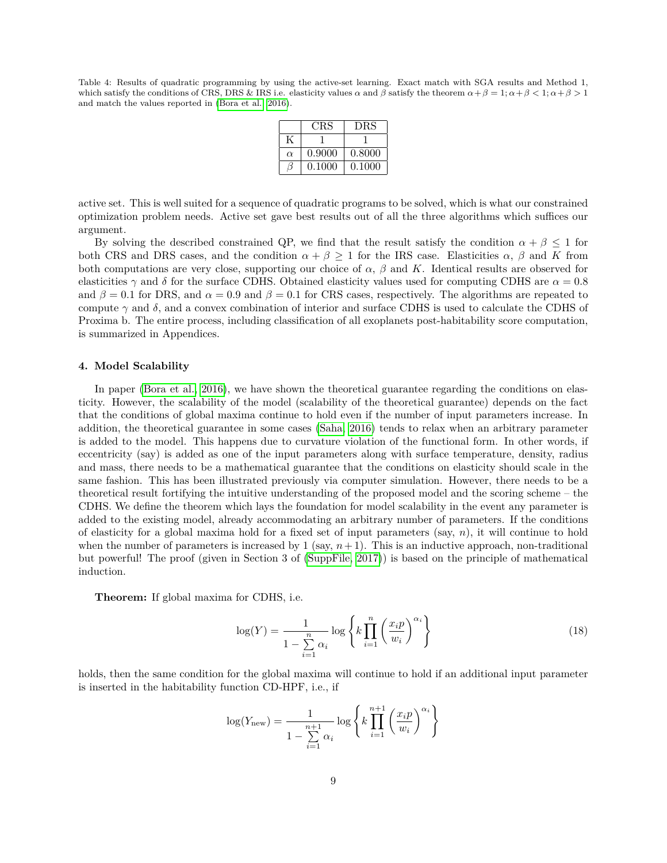<span id="page-8-1"></span>Table 4: Results of quadratic programming by using the active-set learning. Exact match with SGA results and Method 1, which satisfy the conditions of CRS, DRS & IRS i.e. elasticity values  $\alpha$  and  $\beta$  satisfy the theorem  $\alpha + \beta = 1$ ;  $\alpha + \beta < 1$ ;  $\alpha + \beta > 1$ and match the values reported in [\(Bora et al., 2016\)](#page-15-0).

|          | $_{\rm CRS}$ | $_{\mathrm{DRS}}$ |
|----------|--------------|-------------------|
|          |              |                   |
| $\alpha$ | 0.9000       | 0.8000            |
|          | 0.1000       | 0.1000            |

active set. This is well suited for a sequence of quadratic programs to be solved, which is what our constrained optimization problem needs. Active set gave best results out of all the three algorithms which suffices our argument.

By solving the described constrained QP, we find that the result satisfy the condition  $\alpha + \beta \leq 1$  for both CRS and DRS cases, and the condition  $\alpha + \beta \geq 1$  for the IRS case. Elasticities  $\alpha$ ,  $\beta$  and *K* from both computations are very close, supporting our choice of  $\alpha$ ,  $\beta$  and K. Identical results are observed for elasticities  $\gamma$  and  $\delta$  for the surface CDHS. Obtained elasticity values used for computing CDHS are  $\alpha = 0.8$ and  $\beta = 0.1$  for DRS, and  $\alpha = 0.9$  and  $\beta = 0.1$  for CRS cases, respectively. The algorithms are repeated to compute *γ* and *δ*, and a convex combination of interior and surface CDHS is used to calculate the CDHS of Proxima b. The entire process, including classification of all exoplanets post-habitability score computation, is summarized in Appendices.

## <span id="page-8-0"></span>**4. Model Scalability**

In paper [\(Bora et al., 2016\)](#page-15-0), we have shown the theoretical guarantee regarding the conditions on elasticity. However, the scalability of the model (scalability of the theoretical guarantee) depends on the fact that the conditions of global maxima continue to hold even if the number of input parameters increase. In addition, the theoretical guarantee in some cases [\(Saha, 2016\)](#page-15-1) tends to relax when an arbitrary parameter is added to the model. This happens due to curvature violation of the functional form. In other words, if eccentricity (say) is added as one of the input parameters along with surface temperature, density, radius and mass, there needs to be a mathematical guarantee that the conditions on elasticity should scale in the same fashion. This has been illustrated previously via computer simulation. However, there needs to be a theoretical result fortifying the intuitive understanding of the proposed model and the scoring scheme – the CDHS. We define the theorem which lays the foundation for model scalability in the event any parameter is added to the existing model, already accommodating an arbitrary number of parameters. If the conditions of elasticity for a global maxima hold for a fixed set of input parameters (say, *n*), it will continue to hold when the number of parameters is increased by 1 (say,  $n+1$ ). This is an inductive approach, non-traditional but powerful! The proof (given in Section 3 of [\(SuppFile, 2017\)](#page-16-4)) is based on the principle of mathematical induction.

**Theorem:** If global maxima for CDHS, i.e.

$$
\log(Y) = \frac{1}{1 - \sum_{i=1}^{n} \alpha_i} \log \left\{ k \prod_{i=1}^{n} \left( \frac{x_i p}{w_i} \right)^{\alpha_i} \right\}
$$
(18)

holds, then the same condition for the global maxima will continue to hold if an additional input parameter is inserted in the habitability function CD-HPF, i.e., if

$$
\log(Y_{\text{new}}) = \frac{1}{1 - \sum_{i=1}^{n+1} \alpha_i} \log \left\{ k \prod_{i=1}^{n+1} \left( \frac{x_i p}{w_i} \right)^{\alpha_i} \right\}
$$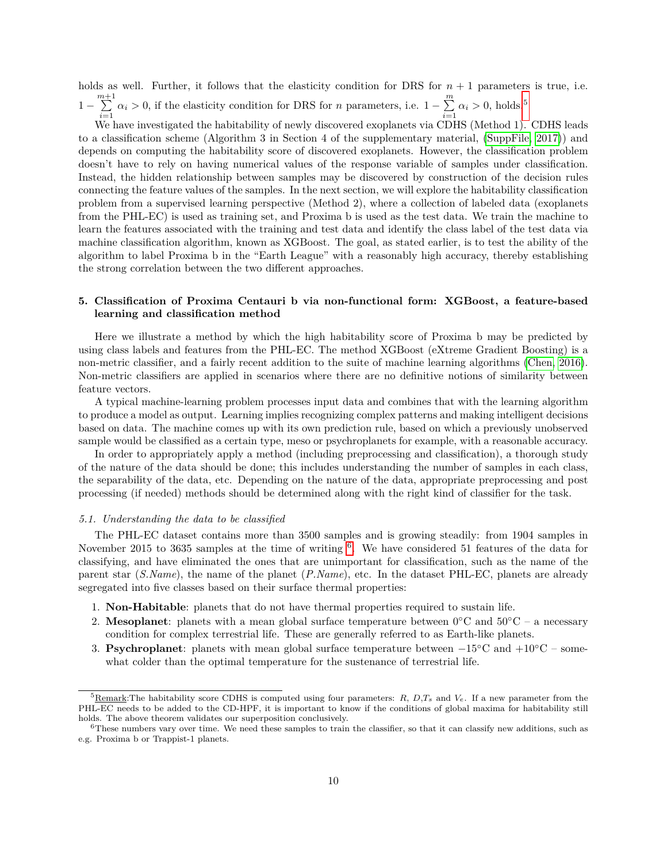holds as well. Further, it follows that the elasticity condition for DRS for  $n + 1$  parameters is true, i.e.  $1 - \sum_{ }^{m+1}$  $\sum_{i=1}^{m+1} \alpha_i > 0$ , if the elasticity condition for DRS for *n* parameters, i.e.  $1 - \sum_{i=1}^{m} \alpha_i$  $\sum_{i=1}^{\infty} \alpha_i > 0$ , holds.<sup>[5](#page-9-1)</sup>

We have investigated the habitability of newly discovered exoplanets via CDHS (Method 1). CDHS leads to a classification scheme (Algorithm 3 in Section 4 of the supplementary material, [\(SuppFile, 2017\)](#page-16-4)) and depends on computing the habitability score of discovered exoplanets. However, the classification problem doesn't have to rely on having numerical values of the response variable of samples under classification. Instead, the hidden relationship between samples may be discovered by construction of the decision rules connecting the feature values of the samples. In the next section, we will explore the habitability classification problem from a supervised learning perspective (Method 2), where a collection of labeled data (exoplanets from the PHL-EC) is used as training set, and Proxima b is used as the test data. We train the machine to learn the features associated with the training and test data and identify the class label of the test data via machine classification algorithm, known as XGBoost. The goal, as stated earlier, is to test the ability of the algorithm to label Proxima b in the "Earth League" with a reasonably high accuracy, thereby establishing the strong correlation between the two different approaches.

# <span id="page-9-0"></span>**5. Classification of Proxima Centauri b via non-functional form: XGBoost, a feature-based learning and classification method**

Here we illustrate a method by which the high habitability score of Proxima b may be predicted by using class labels and features from the PHL-EC. The method XGBoost (eXtreme Gradient Boosting) is a non-metric classifier, and a fairly recent addition to the suite of machine learning algorithms [\(Chen, 2016\)](#page-16-11). Non-metric classifiers are applied in scenarios where there are no definitive notions of similarity between feature vectors.

A typical machine-learning problem processes input data and combines that with the learning algorithm to produce a model as output. Learning implies recognizing complex patterns and making intelligent decisions based on data. The machine comes up with its own prediction rule, based on which a previously unobserved sample would be classified as a certain type, meso or psychroplanets for example, with a reasonable accuracy.

In order to appropriately apply a method (including preprocessing and classification), a thorough study of the nature of the data should be done; this includes understanding the number of samples in each class, the separability of the data, etc. Depending on the nature of the data, appropriate preprocessing and post processing (if needed) methods should be determined along with the right kind of classifier for the task.

# *5.1. Understanding the data to be classified*

The PHL-EC dataset contains more than 3500 samples and is growing steadily: from 1904 samples in November 2015 to 3[6](#page-9-2)35 samples at the time of writing <sup>6</sup>. We have considered 51 features of the data for classifying, and have eliminated the ones that are unimportant for classification, such as the name of the parent star (*S.Name*), the name of the planet (*P.Name*), etc. In the dataset PHL-EC, planets are already segregated into five classes based on their surface thermal properties:

- 1. **Non-Habitable**: planets that do not have thermal properties required to sustain life.
- 2. **Mesoplanet**: planets with a mean global surface temperature between 0◦C and 50◦C a necessary condition for complex terrestrial life. These are generally referred to as Earth-like planets.
- 3. **Psychroplanet**: planets with mean global surface temperature between −15◦C and +10◦C somewhat colder than the optimal temperature for the sustenance of terrestrial life.

<span id="page-9-1"></span><sup>&</sup>lt;sup>5</sup>Remark: The habitability score CDHS is computed using four parameters:  $R$ ,  $D$ ,  $T_s$  and  $V_e$ . If a new parameter from the PHL-EC needs to be added to the CD-HPF, it is important to know if the conditions of global maxima for habitability still holds. The above theorem validates our superposition conclusively.

<span id="page-9-2"></span> $6$ These numbers vary over time. We need these samples to train the classifier, so that it can classify new additions, such as e.g. Proxima b or Trappist-1 planets.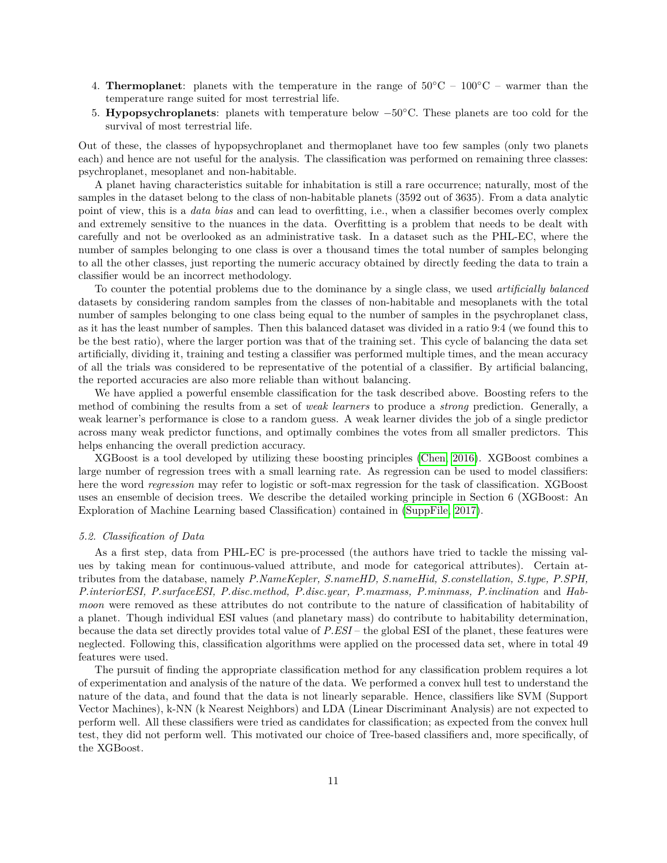- 4. **Thermoplanet**: planets with the temperature in the range of 50◦C 100◦C warmer than the temperature range suited for most terrestrial life.
- 5. **Hypopsychroplanets**: planets with temperature below −50◦C. These planets are too cold for the survival of most terrestrial life.

Out of these, the classes of hypopsychroplanet and thermoplanet have too few samples (only two planets each) and hence are not useful for the analysis. The classification was performed on remaining three classes: psychroplanet, mesoplanet and non-habitable.

A planet having characteristics suitable for inhabitation is still a rare occurrence; naturally, most of the samples in the dataset belong to the class of non-habitable planets (3592 out of 3635). From a data analytic point of view, this is a *data bias* and can lead to overfitting, i.e., when a classifier becomes overly complex and extremely sensitive to the nuances in the data. Overfitting is a problem that needs to be dealt with carefully and not be overlooked as an administrative task. In a dataset such as the PHL-EC, where the number of samples belonging to one class is over a thousand times the total number of samples belonging to all the other classes, just reporting the numeric accuracy obtained by directly feeding the data to train a classifier would be an incorrect methodology.

To counter the potential problems due to the dominance by a single class, we used *artificially balanced* datasets by considering random samples from the classes of non-habitable and mesoplanets with the total number of samples belonging to one class being equal to the number of samples in the psychroplanet class, as it has the least number of samples. Then this balanced dataset was divided in a ratio 9:4 (we found this to be the best ratio), where the larger portion was that of the training set. This cycle of balancing the data set artificially, dividing it, training and testing a classifier was performed multiple times, and the mean accuracy of all the trials was considered to be representative of the potential of a classifier. By artificial balancing, the reported accuracies are also more reliable than without balancing.

We have applied a powerful ensemble classification for the task described above. Boosting refers to the method of combining the results from a set of *weak learners* to produce a *strong* prediction. Generally, a weak learner's performance is close to a random guess. A weak learner divides the job of a single predictor across many weak predictor functions, and optimally combines the votes from all smaller predictors. This helps enhancing the overall prediction accuracy.

XGBoost is a tool developed by utilizing these boosting principles [\(Chen, 2016\)](#page-16-11). XGBoost combines a large number of regression trees with a small learning rate. As regression can be used to model classifiers: here the word *regression* may refer to logistic or soft-max regression for the task of classification. XGBoost uses an ensemble of decision trees. We describe the detailed working principle in Section 6 (XGBoost: An Exploration of Machine Learning based Classification) contained in [\(SuppFile, 2017\)](#page-16-4).

## *5.2. Classification of Data*

As a first step, data from PHL-EC is pre-processed (the authors have tried to tackle the missing values by taking mean for continuous-valued attribute, and mode for categorical attributes). Certain attributes from the database, namely *P.NameKepler, S.nameHD, S.nameHid, S.constellation, S.type, P.SPH, P.interiorESI, P.surfaceESI, P.disc.method, P.disc.year, P.maxmass, P.minmass, P.inclination* and *Habmoon* were removed as these attributes do not contribute to the nature of classification of habitability of a planet. Though individual ESI values (and planetary mass) do contribute to habitability determination, because the data set directly provides total value of *P.ESI* – the global ESI of the planet, these features were neglected. Following this, classification algorithms were applied on the processed data set, where in total 49 features were used.

The pursuit of finding the appropriate classification method for any classification problem requires a lot of experimentation and analysis of the nature of the data. We performed a convex hull test to understand the nature of the data, and found that the data is not linearly separable. Hence, classifiers like SVM (Support Vector Machines), k-NN (k Nearest Neighbors) and LDA (Linear Discriminant Analysis) are not expected to perform well. All these classifiers were tried as candidates for classification; as expected from the convex hull test, they did not perform well. This motivated our choice of Tree-based classifiers and, more specifically, of the XGBoost.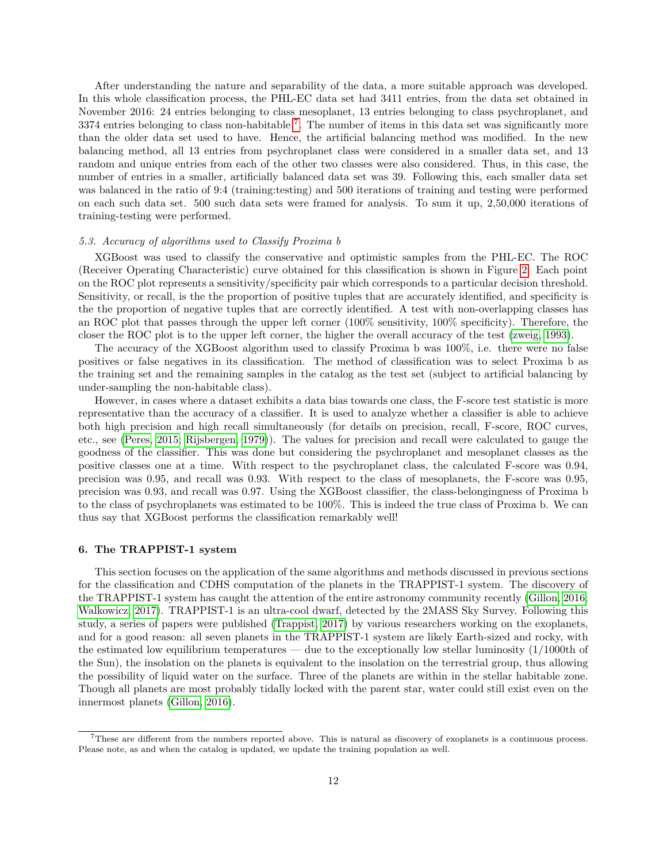After understanding the nature and separability of the data, a more suitable approach was developed. In this whole classification process, the PHL-EC data set had 3411 entries, from the data set obtained in November 2016: 24 entries belonging to class mesoplanet, 13 entries belonging to class psychroplanet, and 33[7](#page-11-1)4 entries belonging to class non-habitable <sup>7</sup>. The number of items in this data set was significantly more than the older data set used to have. Hence, the artificial balancing method was modified. In the new balancing method, all 13 entries from psychroplanet class were considered in a smaller data set, and 13 random and unique entries from each of the other two classes were also considered. Thus, in this case, the number of entries in a smaller, artificially balanced data set was 39. Following this, each smaller data set was balanced in the ratio of 9:4 (training:testing) and 500 iterations of training and testing were performed on each such data set. 500 such data sets were framed for analysis. To sum it up, 2,50,000 iterations of training-testing were performed.

## *5.3. Accuracy of algorithms used to Classify Proxima b*

XGBoost was used to classify the conservative and optimistic samples from the PHL-EC. The ROC (Receiver Operating Characteristic) curve obtained for this classification is shown in Figure [2.](#page-12-1) Each point on the ROC plot represents a sensitivity/specificity pair which corresponds to a particular decision threshold. Sensitivity, or recall, is the the proportion of positive tuples that are accurately identified, and specificity is the the proportion of negative tuples that are correctly identified. A test with non-overlapping classes has an ROC plot that passes through the upper left corner (100% sensitivity, 100% specificity). Therefore, the closer the ROC plot is to the upper left corner, the higher the overall accuracy of the test [\(zweig, 1993\)](#page-16-12).

The accuracy of the XGBoost algorithm used to classify Proxima b was 100%, i.e. there were no false positives or false negatives in its classification. The method of classification was to select Proxima b as the training set and the remaining samples in the catalog as the test set (subject to artificial balancing by under-sampling the non-habitable class).

However, in cases where a dataset exhibits a data bias towards one class, the F-score test statistic is more representative than the accuracy of a classifier. It is used to analyze whether a classifier is able to achieve both high precision and high recall simultaneously (for details on precision, recall, F-score, ROC curves, etc., see [\(Peres, 2015;](#page-16-13) [Rijsbergen, 1979\)](#page-16-14)). The values for precision and recall were calculated to gauge the goodness of the classifier. This was done but considering the psychroplanet and mesoplanet classes as the positive classes one at a time. With respect to the psychroplanet class, the calculated F-score was 0.94, precision was 0.95, and recall was 0.93. With respect to the class of mesoplanets, the F-score was 0.95, precision was 0.93, and recall was 0.97. Using the XGBoost classifier, the class-belongingness of Proxima b to the class of psychroplanets was estimated to be 100%. This is indeed the true class of Proxima b. We can thus say that XGBoost performs the classification remarkably well!

# <span id="page-11-0"></span>**6. The TRAPPIST-1 system**

This section focuses on the application of the same algorithms and methods discussed in previous sections for the classification and CDHS computation of the planets in the TRAPPIST-1 system. The discovery of the TRAPPIST-1 system has caught the attention of the entire astronomy community recently [\(Gillon, 2016;](#page-16-15) [Walkowicz, 2017\)](#page-16-16). TRAPPIST-1 is an ultra-cool dwarf, detected by the 2MASS Sky Survey. Following this study, a series of papers were published [\(Trappist, 2017\)](#page-16-17) by various researchers working on the exoplanets, and for a good reason: all seven planets in the TRAPPIST-1 system are likely Earth-sized and rocky, with the estimated low equilibrium temperatures — due to the exceptionally low stellar luminosity (1/1000th of the Sun), the insolation on the planets is equivalent to the insolation on the terrestrial group, thus allowing the possibility of liquid water on the surface. Three of the planets are within in the stellar habitable zone. Though all planets are most probably tidally locked with the parent star, water could still exist even on the innermost planets [\(Gillon, 2016\)](#page-16-15).

<span id="page-11-1"></span><sup>7</sup>These are different from the numbers reported above. This is natural as discovery of exoplanets is a continuous process. Please note, as and when the catalog is updated, we update the training population as well.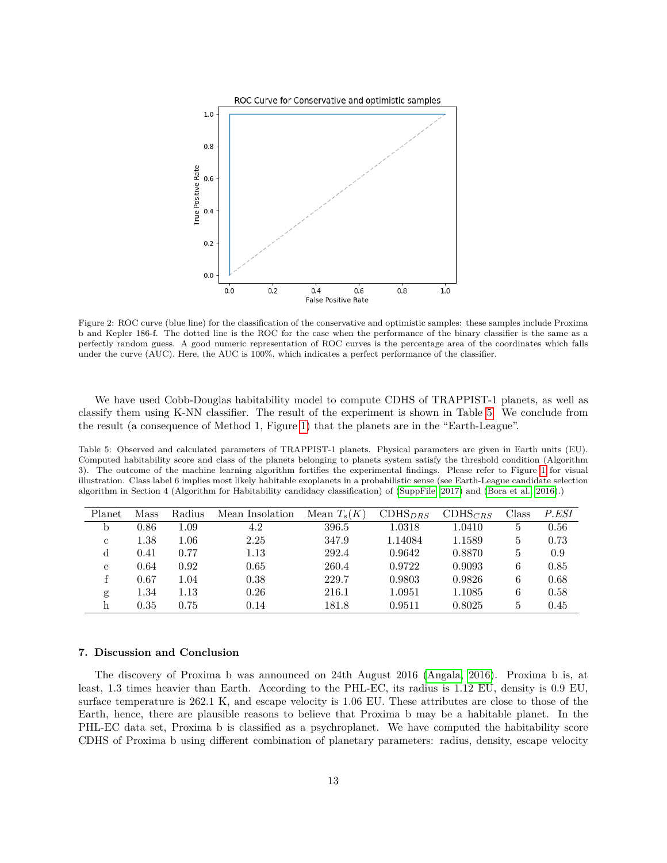<span id="page-12-1"></span>

Figure 2: ROC curve (blue line) for the classification of the conservative and optimistic samples: these samples include Proxima b and Kepler 186-f. The dotted line is the ROC for the case when the performance of the binary classifier is the same as a perfectly random guess. A good numeric representation of ROC curves is the percentage area of the coordinates which falls under the curve (AUC). Here, the AUC is 100%, which indicates a perfect performance of the classifier.

We have used Cobb-Douglas habitability model to compute CDHS of TRAPPIST-1 planets, as well as classify them using K-NN classifier. The result of the experiment is shown in Table [5.](#page-12-2) We conclude from the result (a consequence of Method 1, Figure [1\)](#page-2-0) that the planets are in the "Earth-League".

<span id="page-12-2"></span>Table 5: Observed and calculated parameters of TRAPPIST-1 planets. Physical parameters are given in Earth units (EU). Computed habitability score and class of the planets belonging to planets system satisfy the threshold condition (Algorithm 3). The outcome of the machine learning algorithm fortifies the experimental findings. Please refer to Figure [1](#page-2-0) for visual illustration. Class label 6 implies most likely habitable exoplanets in a probabilistic sense (see Earth-League candidate selection algorithm in Section 4 (Algorithm for Habitability candidacy classification) of [\(SuppFile, 2017\)](#page-16-4) and [\(Bora et al., 2016\)](#page-15-0).)

| Planet       | Mass | Radius | Mean Insolation | Mean $T_s(K)$ | $\text{CDHS}_{DRS}$ | $\text{CDHS}_{CRS}$ | $\rm Class$ | P.ESI |
|--------------|------|--------|-----------------|---------------|---------------------|---------------------|-------------|-------|
| b            | 0.86 | 1.09   | 4.2             | 396.5         | 1.0318              | 1.0410              | 5           | 0.56  |
| $\mathbf{c}$ | 1.38 | 1.06   | 2.25            | 347.9         | 1.14084             | 1.1589              | 5           | 0.73  |
| d            | 0.41 | 0.77   | 1.13            | 292.4         | 0.9642              | 0.8870              | 5           | 0.9   |
| e            | 0.64 | 0.92   | 0.65            | 260.4         | 0.9722              | 0.9093              | 6           | 0.85  |
|              | 0.67 | 1.04   | 0.38            | 229.7         | 0.9803              | 0.9826              | 6           | 0.68  |
| g            | 1.34 | 1.13   | 0.26            | 216.1         | 1.0951              | 1.1085              | 6           | 0.58  |
| h            | 0.35 | 0.75   | 0.14            | 181.8         | 0.9511              | 0.8025              | 5           | 0.45  |

## <span id="page-12-0"></span>**7. Discussion and Conclusion**

The discovery of Proxima b was announced on 24th August 2016 [\(Angala, 2016\)](#page-16-0). Proxima b is, at least, 1.3 times heavier than Earth. According to the PHL-EC, its radius is 1.12 EU, density is 0.9 EU, surface temperature is 262.1 K, and escape velocity is 1.06 EU. These attributes are close to those of the Earth, hence, there are plausible reasons to believe that Proxima b may be a habitable planet. In the PHL-EC data set, Proxima b is classified as a psychroplanet. We have computed the habitability score CDHS of Proxima b using different combination of planetary parameters: radius, density, escape velocity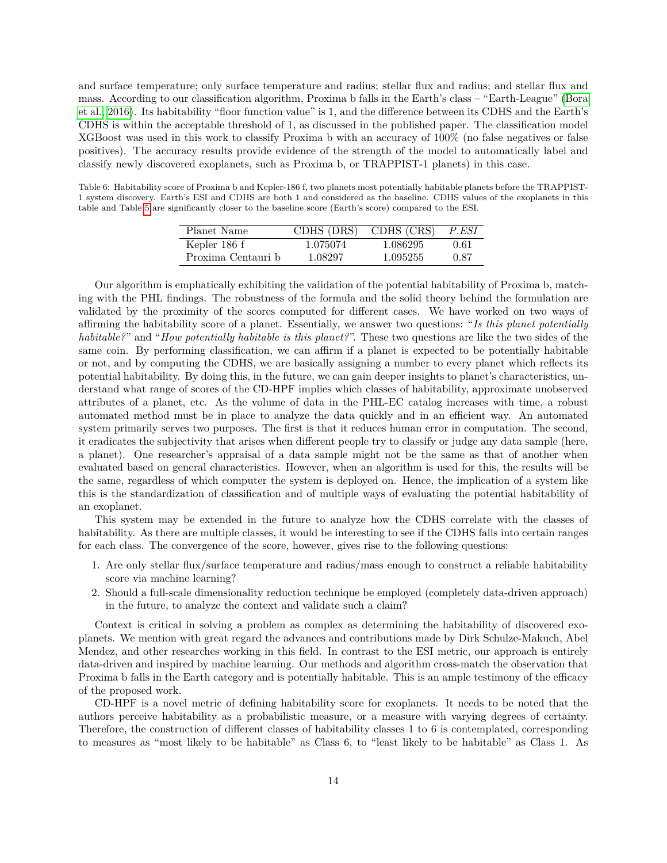and surface temperature; only surface temperature and radius; stellar flux and radius; and stellar flux and mass. According to our classification algorithm, Proxima b falls in the Earth's class – "Earth-League" [\(Bora](#page-15-0) [et al., 2016\)](#page-15-0). Its habitability "floor function value" is 1, and the difference between its CDHS and the Earth's CDHS is within the acceptable threshold of 1, as discussed in the published paper. The classification model XGBoost was used in this work to classify Proxima b with an accuracy of 100% (no false negatives or false positives). The accuracy results provide evidence of the strength of the model to automatically label and classify newly discovered exoplanets, such as Proxima b, or TRAPPIST-1 planets) in this case.

Table 6: Habitability score of Proxima b and Kepler-186 f, two planets most potentially habitable planets before the TRAPPIST-1 system discovery. Earth's ESI and CDHS are both 1 and considered as the baseline. CDHS values of the exoplanets in this table and Table [5](#page-12-2) are significantly closer to the baseline score (Earth's score) compared to the ESI.

| Planet Name        | CDHS (DRS) | CDHS (CRS) | P.ESI |
|--------------------|------------|------------|-------|
| Kepler 186 f       | 1.075074   | 1.086295   | 0.61  |
| Proxima Centauri b | 1.08297    | 1.095255   | 0.87  |

Our algorithm is emphatically exhibiting the validation of the potential habitability of Proxima b, matching with the PHL findings. The robustness of the formula and the solid theory behind the formulation are validated by the proximity of the scores computed for different cases. We have worked on two ways of affirming the habitability score of a planet. Essentially, we answer two questions: "*Is this planet potentially habitable?*" and "*How potentially habitable is this planet?*". These two questions are like the two sides of the same coin. By performing classification, we can affirm if a planet is expected to be potentially habitable or not, and by computing the CDHS, we are basically assigning a number to every planet which reflects its potential habitability. By doing this, in the future, we can gain deeper insights to planet's characteristics, understand what range of scores of the CD-HPF implies which classes of habitability, approximate unobserved attributes of a planet, etc. As the volume of data in the PHL-EC catalog increases with time, a robust automated method must be in place to analyze the data quickly and in an efficient way. An automated system primarily serves two purposes. The first is that it reduces human error in computation. The second, it eradicates the subjectivity that arises when different people try to classify or judge any data sample (here, a planet). One researcher's appraisal of a data sample might not be the same as that of another when evaluated based on general characteristics. However, when an algorithm is used for this, the results will be the same, regardless of which computer the system is deployed on. Hence, the implication of a system like this is the standardization of classification and of multiple ways of evaluating the potential habitability of an exoplanet.

This system may be extended in the future to analyze how the CDHS correlate with the classes of habitability. As there are multiple classes, it would be interesting to see if the CDHS falls into certain ranges for each class. The convergence of the score, however, gives rise to the following questions:

- 1. Are only stellar flux/surface temperature and radius/mass enough to construct a reliable habitability score via machine learning?
- 2. Should a full-scale dimensionality reduction technique be employed (completely data-driven approach) in the future, to analyze the context and validate such a claim?

Context is critical in solving a problem as complex as determining the habitability of discovered exoplanets. We mention with great regard the advances and contributions made by Dirk Schulze-Makuch, Abel Mendez, and other researches working in this field. In contrast to the ESI metric, our approach is entirely data-driven and inspired by machine learning. Our methods and algorithm cross-match the observation that Proxima b falls in the Earth category and is potentially habitable. This is an ample testimony of the efficacy of the proposed work.

CD-HPF is a novel metric of defining habitability score for exoplanets. It needs to be noted that the authors perceive habitability as a probabilistic measure, or a measure with varying degrees of certainty. Therefore, the construction of different classes of habitability classes 1 to 6 is contemplated, corresponding to measures as "most likely to be habitable" as Class 6, to "least likely to be habitable" as Class 1. As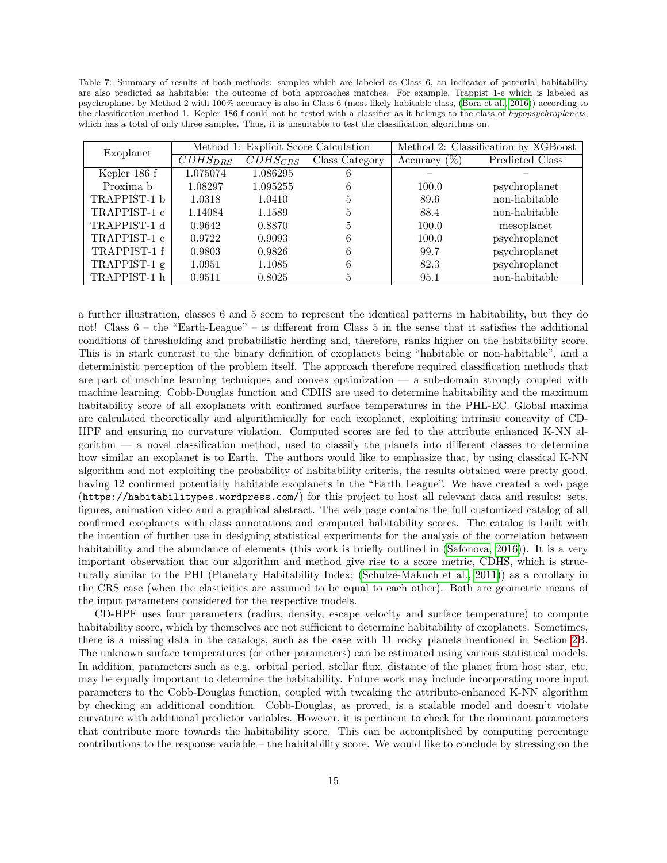<span id="page-14-0"></span>Table 7: Summary of results of both methods: samples which are labeled as Class 6, an indicator of potential habitability are also predicted as habitable: the outcome of both approaches matches. For example, Trappist 1-e which is labeled as psychroplanet by Method 2 with 100% accuracy is also in Class 6 (most likely habitable class, [\(Bora et al., 2016\)](#page-15-0)) according to the classification method 1. Kepler 186 f could not be tested with a classifier as it belongs to the class of *hypopsychroplanets*, which has a total of only three samples. Thus, it is unsuitable to test the classification algorithms on.

| Exoplanet    | Method 1: Explicit Score Calculation |              |                | Method 2: Classification by XGBoost |                 |
|--------------|--------------------------------------|--------------|----------------|-------------------------------------|-----------------|
|              | $CDHS_{DRS}$                         | $CDHS_{CRS}$ | Class Category | Accuracy $\overline{(\%)}$          | Predicted Class |
| Kepler 186 f | 1.075074                             | 1.086295     | 6              |                                     |                 |
| Proxima b    | 1.08297                              | 1.095255     | 6              | 100.0                               | psychroplanet   |
| TRAPPIST-1 b | 1.0318                               | 1.0410       | 5              | 89.6                                | non-habitable   |
| TRAPPIST-1 c | 1.14084                              | 1.1589       | 5              | 88.4                                | non-habitable   |
| TRAPPIST-1 d | 0.9642                               | 0.8870       | 5              | 100.0                               | mesoplanet      |
| TRAPPIST-1 e | 0.9722                               | 0.9093       | 6              | 100.0                               | psychroplanet   |
| TRAPPIST-1 f | 0.9803                               | 0.9826       | 6              | 99.7                                | psychroplanet   |
| TRAPPIST-1 g | 1.0951                               | 1.1085       | 6              | 82.3                                | psychroplanet   |
| TRAPPIST-1 h | 0.9511                               | 0.8025       | 5              | 95.1                                | non-habitable   |

a further illustration, classes 6 and 5 seem to represent the identical patterns in habitability, but they do not! Class 6 – the "Earth-League" – is different from Class 5 in the sense that it satisfies the additional conditions of thresholding and probabilistic herding and, therefore, ranks higher on the habitability score. This is in stark contrast to the binary definition of exoplanets being "habitable or non-habitable", and a deterministic perception of the problem itself. The approach therefore required classification methods that are part of machine learning techniques and convex optimization — a sub-domain strongly coupled with machine learning. Cobb-Douglas function and CDHS are used to determine habitability and the maximum habitability score of all exoplanets with confirmed surface temperatures in the PHL-EC. Global maxima are calculated theoretically and algorithmically for each exoplanet, exploiting intrinsic concavity of CD-HPF and ensuring no curvature violation. Computed scores are fed to the attribute enhanced K-NN algorithm — a novel classification method, used to classify the planets into different classes to determine how similar an exoplanet is to Earth. The authors would like to emphasize that, by using classical K-NN algorithm and not exploiting the probability of habitability criteria, the results obtained were pretty good, having 12 confirmed potentially habitable exoplanets in the "Earth League". We have created a web page (https://habitabilitypes.wordpress.com/) for this project to host all relevant data and results: sets, figures, animation video and a graphical abstract. The web page contains the full customized catalog of all confirmed exoplanets with class annotations and computed habitability scores. The catalog is built with the intention of further use in designing statistical experiments for the analysis of the correlation between habitability and the abundance of elements (this work is briefly outlined in [\(Safonova, 2016\)](#page-16-18)). It is a very important observation that our algorithm and method give rise to a score metric, CDHS, which is structurally similar to the PHI (Planetary Habitability Index; [\(Schulze-Makuch et al., 2011\)](#page-16-5)) as a corollary in the CRS case (when the elasticities are assumed to be equal to each other). Both are geometric means of the input parameters considered for the respective models.

CD-HPF uses four parameters (radius, density, escape velocity and surface temperature) to compute habitability score, which by themselves are not sufficient to determine habitability of exoplanets. Sometimes, there is a missing data in the catalogs, such as the case with 11 rocky planets mentioned in Section [2B](#page-3-0). The unknown surface temperatures (or other parameters) can be estimated using various statistical models. In addition, parameters such as e.g. orbital period, stellar flux, distance of the planet from host star, etc. may be equally important to determine the habitability. Future work may include incorporating more input parameters to the Cobb-Douglas function, coupled with tweaking the attribute-enhanced K-NN algorithm by checking an additional condition. Cobb-Douglas, as proved, is a scalable model and doesn't violate curvature with additional predictor variables. However, it is pertinent to check for the dominant parameters that contribute more towards the habitability score. This can be accomplished by computing percentage contributions to the response variable – the habitability score. We would like to conclude by stressing on the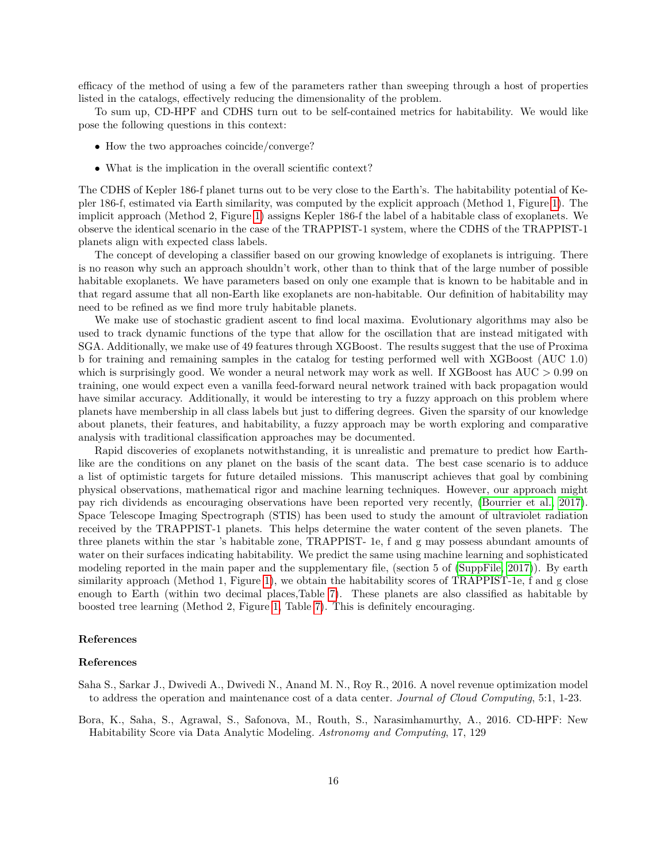efficacy of the method of using a few of the parameters rather than sweeping through a host of properties listed in the catalogs, effectively reducing the dimensionality of the problem.

To sum up, CD-HPF and CDHS turn out to be self-contained metrics for habitability. We would like pose the following questions in this context:

- How the two approaches coincide/converge?
- What is the implication in the overall scientific context?

The CDHS of Kepler 186-f planet turns out to be very close to the Earth's. The habitability potential of Kepler 186-f, estimated via Earth similarity, was computed by the explicit approach (Method 1, Figure [1\)](#page-2-0). The implicit approach (Method 2, Figure [1\)](#page-2-0) assigns Kepler 186-f the label of a habitable class of exoplanets. We observe the identical scenario in the case of the TRAPPIST-1 system, where the CDHS of the TRAPPIST-1 planets align with expected class labels.

The concept of developing a classifier based on our growing knowledge of exoplanets is intriguing. There is no reason why such an approach shouldn't work, other than to think that of the large number of possible habitable exoplanets. We have parameters based on only one example that is known to be habitable and in that regard assume that all non-Earth like exoplanets are non-habitable. Our definition of habitability may need to be refined as we find more truly habitable planets.

We make use of stochastic gradient ascent to find local maxima. Evolutionary algorithms may also be used to track dynamic functions of the type that allow for the oscillation that are instead mitigated with SGA. Additionally, we make use of 49 features through XGBoost. The results suggest that the use of Proxima b for training and remaining samples in the catalog for testing performed well with XGBoost (AUC 1.0) which is surprisingly good. We wonder a neural network may work as well. If XGBoost has AUC *>* 0*.*99 on training, one would expect even a vanilla feed-forward neural network trained with back propagation would have similar accuracy. Additionally, it would be interesting to try a fuzzy approach on this problem where planets have membership in all class labels but just to differing degrees. Given the sparsity of our knowledge about planets, their features, and habitability, a fuzzy approach may be worth exploring and comparative analysis with traditional classification approaches may be documented.

Rapid discoveries of exoplanets notwithstanding, it is unrealistic and premature to predict how Earthlike are the conditions on any planet on the basis of the scant data. The best case scenario is to adduce a list of optimistic targets for future detailed missions. This manuscript achieves that goal by combining physical observations, mathematical rigor and machine learning techniques. However, our approach might pay rich dividends as encouraging observations have been reported very recently, [\(Bourrier et al., 2017\)](#page-16-19). Space Telescope Imaging Spectrograph (STIS) has been used to study the amount of ultraviolet radiation received by the TRAPPIST-1 planets. This helps determine the water content of the seven planets. The three planets within the star 's habitable zone, TRAPPIST- 1e, f and g may possess abundant amounts of water on their surfaces indicating habitability. We predict the same using machine learning and sophisticated modeling reported in the main paper and the supplementary file, (section 5 of [\(SuppFile, 2017\)](#page-16-4)). By earth similarity approach (Method 1, Figure [1\)](#page-2-0), we obtain the habitability scores of TRAPPIST-1e, f and g close enough to Earth (within two decimal places,Table [7\)](#page-14-0). These planets are also classified as habitable by boosted tree learning (Method 2, Figure [1,](#page-2-0) Table [7\)](#page-14-0). This is definitely encouraging.

# **References**

#### **References**

<span id="page-15-1"></span>Saha S., Sarkar J., Dwivedi A., Dwivedi N., Anand M. N., Roy R., 2016. A novel revenue optimization model to address the operation and maintenance cost of a data center. *Journal of Cloud Computing*, 5:1, 1-23.

<span id="page-15-0"></span>Bora, K., Saha, S., Agrawal, S., Safonova, M., Routh, S., Narasimhamurthy, A., 2016. CD-HPF: New Habitability Score via Data Analytic Modeling. *Astronomy and Computing*, 17, 129